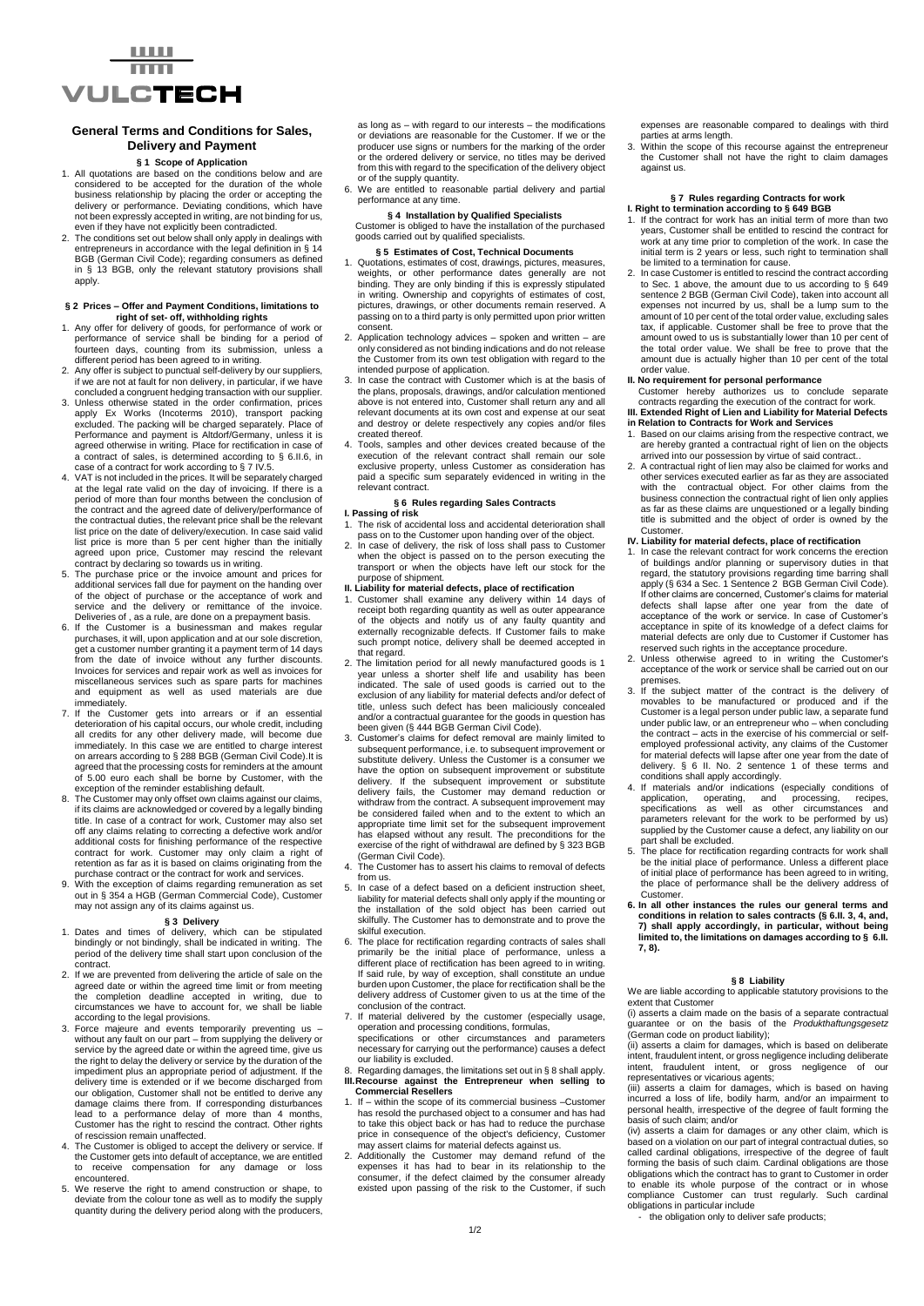

## **General Terms and Conditions for Sales, Delivery and Payment**

## **§ 1 Scope of Application**

- 1. All quotations are based on the conditions below and are considered to be accepted for the duration of the whole business relationship by placing the order or accepting the delivery or performance. Deviating conditions, which have not been expressly accepted in writing, are not binding for us, even if they have not explicitly been contradicted.
- 2. The conditions set out below shall only apply in dealings with entrepreneurs in accordance with the legal definition in § 14 BGB (German Civil Code); regarding consumers as defined in § 13 BGB, only the relevant statutory provisions shall apply.

## **§ 2 Prices – Offer and Payment Conditions, limitations to right of set- off, withholding rights**

- 1. Any offer for delivery of goods, for performance of work or performance of service shall be binding for a period of fourteen days, counting from its submission, unless a
- different period has been agreed to in writing. 2. Any offer is subject to punctual self-delivery by our suppliers, if we are not at fault for non delivery, in particular, if we have concluded a congruent hedging transaction with our supplier.
- 3. Unless otherwise stated in the order confirmation, prices apply Ex Works (Incoterms 2010), transport packing excluded. The packing will be charged separately. Place of<br>Performance and payment is Altdorf/Germany, unless it is<br>agreed otherwise in writing. Place for rectification in case of<br>a contract of sales, is determined accordi case of a contract for work according to § 7 IV.5.
- 4. VAT is not included in the prices. It will be separately charged at the legal rate valid on the day of invoicing. If there is a period of more than four months between the conclusion of the contract and the agreed date of delivery/performance of the contractual duties, the relevant price shall be the relevant list price on the date of delivery/execution. In case said valid list price is more than 5 per cent higher than the initially agreed upon price, Customer may rescind the relevant contract by declaring so towards us in writing.
- The purchase price or the invoice amount and prices for additional services fall due for payment on the handing over of the object of purchase or the acceptance of work and service and the delivery or remittance of the invoice. Deliveries of , as a rule, are done on a prepayment basis.
- 6. If the Customer is a businessman and makes regular purchases, it will, upon application and at our sole discretion, get a customer number granting it a payment term of 14 days from the date of invoice without any further discounts. Invoices for services and repair work as well as invoices for miscellaneous services such as spare parts for machines and equipment as well as used materials are due immediately.
- 7. If the Customer gets into arrears or if an essential deterioration of his capital occurs, our whole credit, including all credits for any other delivery made, will become due immediately. In this case we are entitled to charge interest on arrears according to § 288 BGB (German Civil Code).It is agreed that the processing costs for reminders at the amount of 5.00 euro each shall be borne by Customer, with the exception of the reminder establishing default.
- 8. The Customer may only offset own claims against our claims, if its claims are acknowledged or covered by a legally binding title. In case of a contract for work, Customer may also set off any claims relating to correcting a defective work and/or additional costs for finishing performance of the respective contract for work. Customer may only claim a right of retention as far as it is based on claims originating from the purchase contract or the contract for work and services.
- 9. With the exception of claims regarding remuneration as set out in § 354 a HGB (German Commercial Code), Customer may not assign any of its claims against us.

- **§ 3 Delivery**<br>
1. Dates and times of delivery, which can be stipulated<br>
bindingly or not bindingly, shall be indicated in writing. The<br>
period of the delivery time shall start upon conclusion of the .<br>contract
- 2. If we are prevented from delivering the article of sale on the agreed date or within the agreed time limit or from meeting the completion deadline accepted in writing, due to circumstances we have to account for, we shall be liable according to the legal provisions. 3. Force majeure and events temporarily preventing us –
- without any fault on our part from supplying the delivery or service by the agreed date or within the agreed time, give us the right to delay the delivery or service by the duration of the include high to delay the denvery of derived by the datation of the impediment plus an appropriate period of adjustment. If the delivery time is extended or if we become discharged from our obligation, Customer shall not be entitled to derive any damage claims there from. If corresponding disturbances lead to a performance delay of more than 4 months, Customer has the right to rescind the contract. Other rights of rescission remain unaffected.
- 4. The Customer is obliged to accept the delivery or service. If the Customer gets into default of acceptance, we are entitled to receive compensation for any damage or loss encountered.
- 5. We reserve the right to amend construction or shape, to deviate from the colour tone as well as to modify the supply quantity during the delivery period along with the producers,

as long as – with regard to our interests – the modifications or deviations are reasonable for the Customer. If we or the producer use signs or numbers for the marking of the order or the ordered delivery or service, no titles may be derived from this with regard to the specification of the delivery object or of the supply quantity.

6. We are entitled to reasonable partial delivery and partial performance at any time.

**§ 4 Installation by Qualified Specialists** Customer is obliged to have the installation of the purchased goods carried out by qualified specialists.

#### **§ 5 Estimates of Cost, Technical Documents**

- 1. Quotations, estimates of cost, drawings, pictures, measures, weights, or other performance dates generally are not binding. They are only binding if this is expressly stipulated in writing. Ownership and copyrights of estimates of cost, pictures, drawings, or other documents remain reserved. A passing on to a third party is only permitted upon prior written consent.
- 2. Application technology advices spoken and written are only considered as not binding indications and do not release the Customer from its own test obligation with regard to the intended purpose of application.
- 3. In case the contract with Customer which is at the basis of the plans, proposals, drawings, and/or calculation mentioned above is not entered into, Customer shall return any and all relevant documents at its own cost and expense at our seat and destroy or delete respectively any copies and/or files created thereof.
- 4. Tools, samples and other devices created because of the execution of the relevant contract shall remain our sole exclusive property, unless Customer as consideration has paid a specific sum separately evidenced in writing in the relevant contract.

## **§ 6 Rules regarding Sales Contracts I. Passing of risk**

- 1. The risk of accidental loss and accidental deterioration shall
- pass on to the Customer upon handing over of the object. 2. In case of delivery, the risk of loss shall pass to Customer when the object is passed on to the person executing the transport or when the objects have left our stock for the

# purpose of shipment. **II. Liability for material defects, place of rectification**

- 1. Customer shall examine any delivery within 14 days of receipt both regarding quantity as well as outer appearance of the objects and notify us of any faulty quantity and externally recognizable defects. If Customer fails to make such prompt notice, delivery shall be deemed accepted in that regard.
- 2. The limitation period for all newly manufactured goods is 1 year unless a shorter shelf life and usability has been<br>indicated. The sale of used goods is carried out to the<br>exclusion of any liability for material defects and/or defect of<br>title, unless such defect has been maliciousl and/or a contractual guarantee for the goods in question has been given (§ 444 BGB German Civil Code).
- 3. Customer's claims for defect removal are mainly limited to subsequent performance, i.e. to subsequent improvement or substitute delivery. Unless the Customer is a consumer we have the option on subsequent improvement or substitute delivery. If the subsequent improvement or substitute delivery fails, the Customer may demand reduction or withdraw from the contract. A subsequent improvement may be considered failed when and to the extent to which an appropriate time limit set for the subsequent improvement has elapsed without any result. The preconditions for the exercise of the right of withdrawal are defined by § 323 BGB (German Civil Code).
- 4. The Customer has to assert his claims to removal of defects from us.
- 5. In case of a defect based on a deficient instruction sheet, liability for material defects shall only apply if the mounting or the installation of the sold object has been carried out skilfully. The Customer has to demonstrate and to prove the skilful execution.
- 6. The place for rectification regarding contracts of sales shall primarily be the initial place of performance, unless a different place of rectification has been agreed to in writing. If said rule, by way of exception, shall constitute an undue burden upon Customer, the place for rectification shall be the delivery address of Customer given to us at the time of the conclusion of the contract.
- 7. If material delivered by the customer (especially usage, operation and processing conditions, formulas, specifications or other circumstances and parameters necessary for carrying out the performance) causes a defect our liability is excluded.
- 8. Regarding damages, the limitations set out in § 8 shall apply. **III.Recourse against the Entrepreneur when selling to Commercial Resellers**
- 1. If within the scope of its commercial business –Customer has resold the purchased object to a consumer and has had to take this object back or has had to reduce the purchase price in consequence of the object's deficiency, Customer may assert claims for material defects against us.
- 2. Additionally the Customer may demand refund of the expenses it has had to bear in its relationship to the consumer, if the defect claimed by the consumer already causal existed upon passing of the risk to the Customer,

expenses are reasonable compared to dealings with third

parties at arms length. 3. Within the scope of this recourse against the entrepreneur the Customer shall not have the right to claim damages against us.

# **§ 7 Rules regarding Contracts for work I. Right to termination according to § 649 BGB**

- 1. If the contract for work has an initial term of more than two years, Customer shall be entitled to rescind the contract for work at any time prior to completion of the work. In case the initial term is 2 years or less, such right to termination shall be limited to a termination for cause.
- 2. In case Customer is entitled to rescind the contract according to Sec. 1 above, the amount due to us according to § 649 sentence 2 BGB (German Civil Code), taken into account all expenses not incurred by us, shall be a lump sum to the amount of 10 per cent of the total order value, excluding sales tax, if applicable. Customer shall be free to prove that the amount owed to us is substantially lower than 10 per cent of the total order value. We shall be free to prove that the amount due is actually higher than 10 per cent of the total order value.
- **II. No requirement for personal performance**
- Customer hereby authorizes us to conclude separate contracts regarding the execution of the contract for work.
- **III. Extended Right of Lien and Liability for Material Defects in Relation to Contracts for Work and Services** 1. Based on our claims arising from the respective contract, we are hereby granted a contractual right of lien on the objects
- arrived into our possession by virtue of said contract.. 2. A contractual right of lien may also be claimed for works and other services executed earlier as far as they are associated with the contractual object. For other claims from the business connection the contractual right of lien only applies as far as these claims are unquestioned or a legally binding title is submitted and the object of order is owned by the

# Customer. **IV. Liability for material defects, place of rectification**

- 1. In case the relevant contract for work concerns the erection of buildings and/or planning or supervisory duties in that regard, the statutory provisions regarding time barring shall apply (§ 634 a Sec. 1 Sentence 2 BGB German Civil Code). If other claims are concerned, Customer's claims for material defects shall lapse after one year from the date of acceptance of the work or service. In case of Customer's acceptance in spite of its knowledge of a defect claims for material defects are only due to Customer if Customer has
- reserved such rights in the acceptance procedure. 2. Unless otherwise agreed to in writing the Customer's acceptance of the work or service shall be carried out on our premises.
- 3. If the subject matter of the contract is the delivery of<br>movables to be manufactured or produced and if the movables to be manufactured or produced and if Customer is a legal person under public law, a separate fund under public law, or an entrepreneur who – when concluding the contract – acts in the exercise of his commercial or selfemployed professional activity, any claims of the Customer for material defects will lapse after one year from the date of delivery. § 6 II. No. 2 sentence 1 of these terms and
- conditions shall apply accordingly.<br>4. If materials and/or indications (especially conditions of<br>application, operating, and processing, recipes,<br>specifications as well as other circumstances and<br>parameters relevant for th supplied by the Customer cause a defect, any liability on our part shall be excluded.
- 5. The place for rectification regarding contracts for work shall be the initial place of performance. Unless a different place of initial place of performance has been agreed to in writing, the place of performance shall be the delivery address of Customer.
- **6. In all other instances the rules our general terms and conditions in relation to sales contracts (§ 6.II. 3, 4, and, 7) shall apply accordingly, in particular, without being limited to, the limitations on damages according to § 6.II. 7, 8).**

# **§ 8 Liability**

We are liable according to applicable statutory provisions to the extent that Customer

(i) asserts a claim made on the basis of a separate contractual guarantee or on the basis of the *Produkthaftungsgesetz* (German code on product liability); (ii) asserts a claim for damages, which is based on deliberate

intent, fraudulent intent, or gross negligence including deliberate intent, fraudulent intent, or gross negligence of our representatives or vicarious agents;

(iii) asserts a claim for damages, which is based on having incurred a loss of life, bodily harm, and/or an impairment to personal health, irrespective of the degree of fault forming the basis of such claim; and/or

(iv) asserts a claim for damages or any other claim, which is based on a violation on our part of integral contractual duties, so called cardinal obligations, irrespective of the degree of fault forming the basis of such claim. Cardinal obligations are those obligations which the contract has to grant to Customer in order to enable its whole purpose of the contract or in whose compliance Customer can trust regularly. Such cardinal obligations in particular include

the obligation only to deliver safe products.